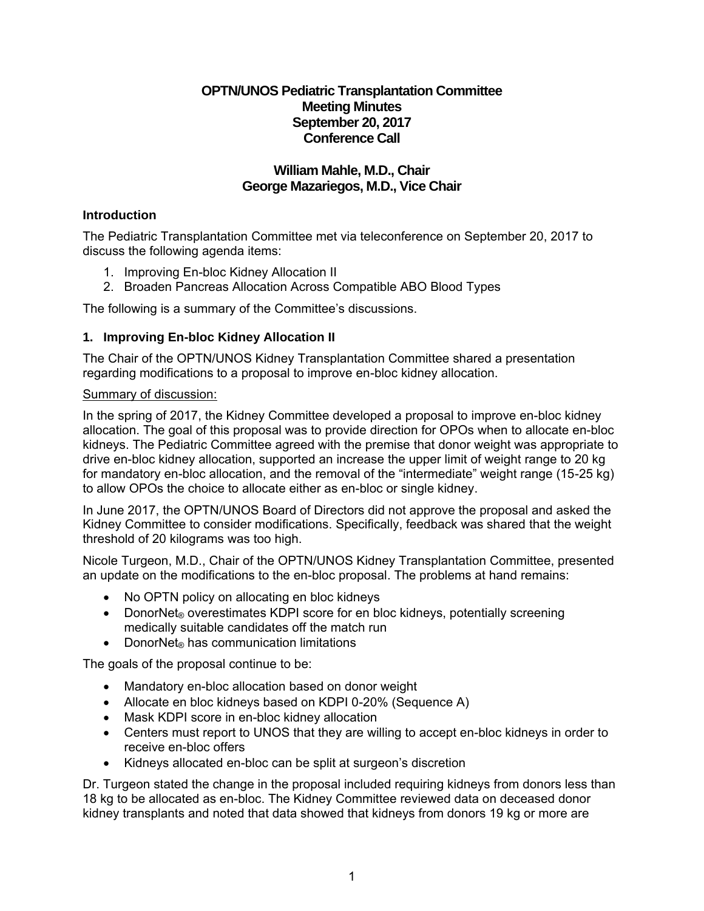# **OPTN/UNOS Pediatric Transplantation Committee Meeting Minutes September 20, 2017 Conference Call**

# **William Mahle, M.D., Chair George Mazariegos, M.D., Vice Chair**

# **Introduction**

The Pediatric Transplantation Committee met via teleconference on September 20, 2017 to discuss the following agenda items:

- 1. Improving En-bloc Kidney Allocation II
- 2. Broaden Pancreas Allocation Across Compatible ABO Blood Types

The following is a summary of the Committee's discussions.

### **1. Improving En-bloc Kidney Allocation II**

The Chair of the OPTN/UNOS Kidney Transplantation Committee shared a presentation regarding modifications to a proposal to improve en-bloc kidney allocation.

#### Summary of discussion:

In the spring of 2017, the Kidney Committee developed a proposal to improve en-bloc kidney allocation. The goal of this proposal was to provide direction for OPOs when to allocate en-bloc kidneys. The Pediatric Committee agreed with the premise that donor weight was appropriate to drive en-bloc kidney allocation, supported an increase the upper limit of weight range to 20 kg for mandatory en-bloc allocation, and the removal of the "intermediate" weight range (15-25 kg) to allow OPOs the choice to allocate either as en-bloc or single kidney.

In June 2017, the OPTN/UNOS Board of Directors did not approve the proposal and asked the Kidney Committee to consider modifications. Specifically, feedback was shared that the weight threshold of 20 kilograms was too high.

Nicole Turgeon, M.D., Chair of the OPTN/UNOS Kidney Transplantation Committee, presented an update on the modifications to the en-bloc proposal. The problems at hand remains:

- No OPTN policy on allocating en bloc kidneys
- DonorNet<sub>®</sub> overestimates KDPI score for en bloc kidneys, potentially screening medically suitable candidates off the match run
- DonorNet<sup>®</sup> has communication limitations

The goals of the proposal continue to be:

- Mandatory en-bloc allocation based on donor weight
- Allocate en bloc kidneys based on KDPI 0-20% (Sequence A)
- Mask KDPI score in en-bloc kidney allocation
- Centers must report to UNOS that they are willing to accept en-bloc kidneys in order to receive en-bloc offers
- Kidneys allocated en-bloc can be split at surgeon's discretion

Dr. Turgeon stated the change in the proposal included requiring kidneys from donors less than 18 kg to be allocated as en-bloc. The Kidney Committee reviewed data on deceased donor kidney transplants and noted that data showed that kidneys from donors 19 kg or more are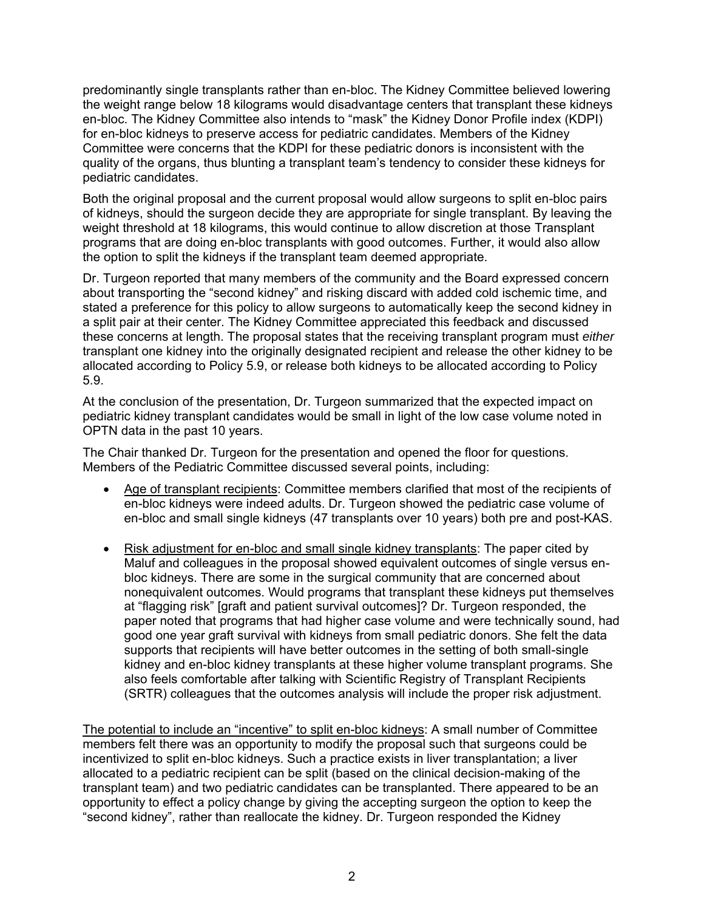predominantly single transplants rather than en-bloc. The Kidney Committee believed lowering the weight range below 18 kilograms would disadvantage centers that transplant these kidneys en-bloc. The Kidney Committee also intends to "mask" the Kidney Donor Profile index (KDPI) for en-bloc kidneys to preserve access for pediatric candidates. Members of the Kidney Committee were concerns that the KDPI for these pediatric donors is inconsistent with the quality of the organs, thus blunting a transplant team's tendency to consider these kidneys for pediatric candidates.

Both the original proposal and the current proposal would allow surgeons to split en-bloc pairs of kidneys, should the surgeon decide they are appropriate for single transplant. By leaving the weight threshold at 18 kilograms, this would continue to allow discretion at those Transplant programs that are doing en-bloc transplants with good outcomes. Further, it would also allow the option to split the kidneys if the transplant team deemed appropriate.

Dr. Turgeon reported that many members of the community and the Board expressed concern about transporting the "second kidney" and risking discard with added cold ischemic time, and stated a preference for this policy to allow surgeons to automatically keep the second kidney in a split pair at their center. The Kidney Committee appreciated this feedback and discussed these concerns at length. The proposal states that the receiving transplant program must *either* transplant one kidney into the originally designated recipient and release the other kidney to be allocated according to Policy 5.9, or release both kidneys to be allocated according to Policy 5.9.

At the conclusion of the presentation, Dr. Turgeon summarized that the expected impact on pediatric kidney transplant candidates would be small in light of the low case volume noted in OPTN data in the past 10 years.

The Chair thanked Dr. Turgeon for the presentation and opened the floor for questions. Members of the Pediatric Committee discussed several points, including:

- Age of transplant recipients: Committee members clarified that most of the recipients of en-bloc kidneys were indeed adults. Dr. Turgeon showed the pediatric case volume of en-bloc and small single kidneys (47 transplants over 10 years) both pre and post-KAS.
- Risk adjustment for en-bloc and small single kidney transplants: The paper cited by Maluf and colleagues in the proposal showed equivalent outcomes of single versus enbloc kidneys. There are some in the surgical community that are concerned about nonequivalent outcomes. Would programs that transplant these kidneys put themselves at "flagging risk" [graft and patient survival outcomes]? Dr. Turgeon responded, the paper noted that programs that had higher case volume and were technically sound, had good one year graft survival with kidneys from small pediatric donors. She felt the data supports that recipients will have better outcomes in the setting of both small-single kidney and en-bloc kidney transplants at these higher volume transplant programs. She also feels comfortable after talking with Scientific Registry of Transplant Recipients (SRTR) colleagues that the outcomes analysis will include the proper risk adjustment.

The potential to include an "incentive" to split en-bloc kidneys: A small number of Committee members felt there was an opportunity to modify the proposal such that surgeons could be incentivized to split en-bloc kidneys. Such a practice exists in liver transplantation; a liver allocated to a pediatric recipient can be split (based on the clinical decision-making of the transplant team) and two pediatric candidates can be transplanted. There appeared to be an opportunity to effect a policy change by giving the accepting surgeon the option to keep the "second kidney", rather than reallocate the kidney. Dr. Turgeon responded the Kidney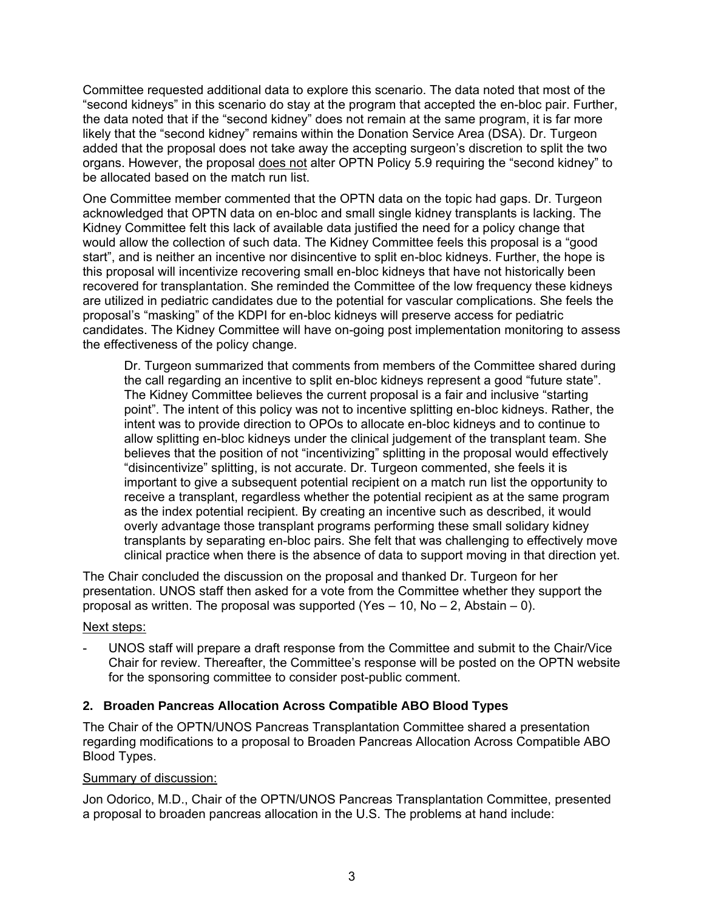Committee requested additional data to explore this scenario. The data noted that most of the "second kidneys" in this scenario do stay at the program that accepted the en-bloc pair. Further, the data noted that if the "second kidney" does not remain at the same program, it is far more likely that the "second kidney" remains within the Donation Service Area (DSA). Dr. Turgeon added that the proposal does not take away the accepting surgeon's discretion to split the two organs. However, the proposal does not alter OPTN Policy 5.9 requiring the "second kidney" to be allocated based on the match run list.

One Committee member commented that the OPTN data on the topic had gaps. Dr. Turgeon acknowledged that OPTN data on en-bloc and small single kidney transplants is lacking. The Kidney Committee felt this lack of available data justified the need for a policy change that would allow the collection of such data. The Kidney Committee feels this proposal is a "good start", and is neither an incentive nor disincentive to split en-bloc kidneys. Further, the hope is this proposal will incentivize recovering small en-bloc kidneys that have not historically been recovered for transplantation. She reminded the Committee of the low frequency these kidneys are utilized in pediatric candidates due to the potential for vascular complications. She feels the proposal's "masking" of the KDPI for en-bloc kidneys will preserve access for pediatric candidates. The Kidney Committee will have on-going post implementation monitoring to assess the effectiveness of the policy change.

Dr. Turgeon summarized that comments from members of the Committee shared during the call regarding an incentive to split en-bloc kidneys represent a good "future state". The Kidney Committee believes the current proposal is a fair and inclusive "starting point". The intent of this policy was not to incentive splitting en-bloc kidneys. Rather, the intent was to provide direction to OPOs to allocate en-bloc kidneys and to continue to allow splitting en-bloc kidneys under the clinical judgement of the transplant team. She believes that the position of not "incentivizing" splitting in the proposal would effectively "disincentivize" splitting, is not accurate. Dr. Turgeon commented, she feels it is important to give a subsequent potential recipient on a match run list the opportunity to receive a transplant, regardless whether the potential recipient as at the same program as the index potential recipient. By creating an incentive such as described, it would overly advantage those transplant programs performing these small solidary kidney transplants by separating en-bloc pairs. She felt that was challenging to effectively move clinical practice when there is the absence of data to support moving in that direction yet.

The Chair concluded the discussion on the proposal and thanked Dr. Turgeon for her presentation. UNOS staff then asked for a vote from the Committee whether they support the proposal as written. The proposal was supported (Yes  $-10$ , No  $-2$ , Abstain  $-0$ ).

### Next steps:

- UNOS staff will prepare a draft response from the Committee and submit to the Chair/Vice Chair for review. Thereafter, the Committee's response will be posted on the OPTN website for the sponsoring committee to consider post-public comment.

### **2. Broaden Pancreas Allocation Across Compatible ABO Blood Types**

The Chair of the OPTN/UNOS Pancreas Transplantation Committee shared a presentation regarding modifications to a proposal to Broaden Pancreas Allocation Across Compatible ABO Blood Types.

### Summary of discussion:

Jon Odorico, M.D., Chair of the OPTN/UNOS Pancreas Transplantation Committee, presented a proposal to broaden pancreas allocation in the U.S. The problems at hand include: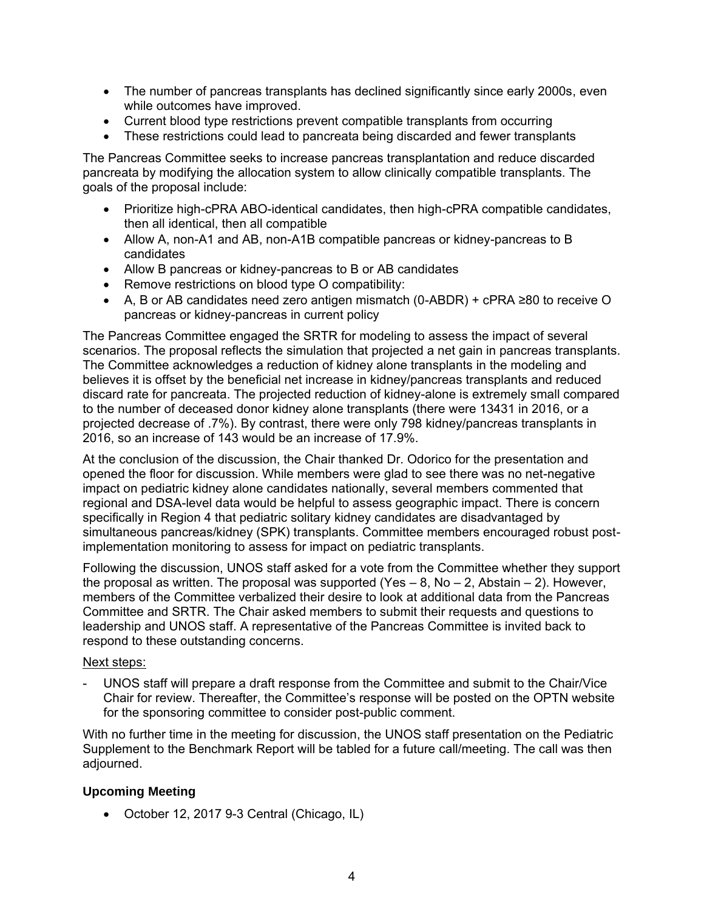- The number of pancreas transplants has declined significantly since early 2000s, even while outcomes have improved.
- Current blood type restrictions prevent compatible transplants from occurring
- These restrictions could lead to pancreata being discarded and fewer transplants

The Pancreas Committee seeks to increase pancreas transplantation and reduce discarded pancreata by modifying the allocation system to allow clinically compatible transplants. The goals of the proposal include:

- Prioritize high-cPRA ABO-identical candidates, then high-cPRA compatible candidates, then all identical, then all compatible
- Allow A, non-A1 and AB, non-A1B compatible pancreas or kidney-pancreas to B candidates
- Allow B pancreas or kidney-pancreas to B or AB candidates
- Remove restrictions on blood type O compatibility:
- A, B or AB candidates need zero antigen mismatch (0-ABDR) + cPRA ≥80 to receive O pancreas or kidney-pancreas in current policy

The Pancreas Committee engaged the SRTR for modeling to assess the impact of several scenarios. The proposal reflects the simulation that projected a net gain in pancreas transplants. The Committee acknowledges a reduction of kidney alone transplants in the modeling and believes it is offset by the beneficial net increase in kidney/pancreas transplants and reduced discard rate for pancreata. The projected reduction of kidney-alone is extremely small compared to the number of deceased donor kidney alone transplants (there were 13431 in 2016, or a projected decrease of .7%). By contrast, there were only 798 kidney/pancreas transplants in 2016, so an increase of 143 would be an increase of 17.9%.

At the conclusion of the discussion, the Chair thanked Dr. Odorico for the presentation and opened the floor for discussion. While members were glad to see there was no net-negative impact on pediatric kidney alone candidates nationally, several members commented that regional and DSA-level data would be helpful to assess geographic impact. There is concern specifically in Region 4 that pediatric solitary kidney candidates are disadvantaged by simultaneous pancreas/kidney (SPK) transplants. Committee members encouraged robust postimplementation monitoring to assess for impact on pediatric transplants.

Following the discussion, UNOS staff asked for a vote from the Committee whether they support the proposal as written. The proposal was supported (Yes  $-$  8, No  $-$  2, Abstain  $-$  2). However, members of the Committee verbalized their desire to look at additional data from the Pancreas Committee and SRTR. The Chair asked members to submit their requests and questions to leadership and UNOS staff. A representative of the Pancreas Committee is invited back to respond to these outstanding concerns.

### Next steps:

- UNOS staff will prepare a draft response from the Committee and submit to the Chair/Vice Chair for review. Thereafter, the Committee's response will be posted on the OPTN website for the sponsoring committee to consider post-public comment.

With no further time in the meeting for discussion, the UNOS staff presentation on the Pediatric Supplement to the Benchmark Report will be tabled for a future call/meeting. The call was then adjourned.

### **Upcoming Meeting**

October 12, 2017 9-3 Central (Chicago, IL)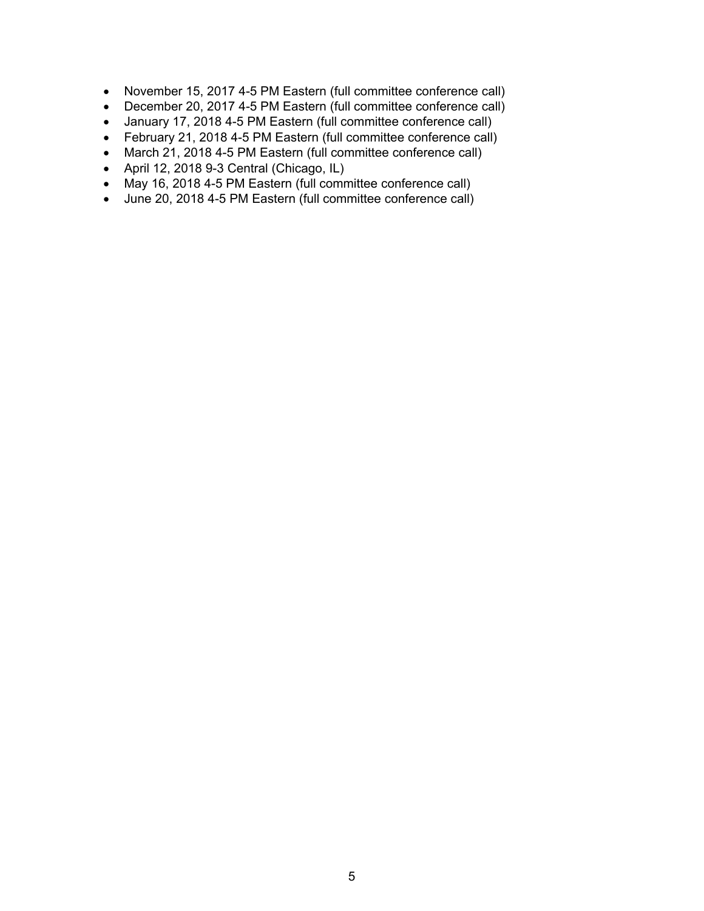- November 15, 2017 4-5 PM Eastern (full committee conference call)
- December 20, 2017 4-5 PM Eastern (full committee conference call)
- January 17, 2018 4-5 PM Eastern (full committee conference call)
- February 21, 2018 4-5 PM Eastern (full committee conference call)
- March 21, 2018 4-5 PM Eastern (full committee conference call)
- April 12, 2018 9-3 Central (Chicago, IL)
- May 16, 2018 4-5 PM Eastern (full committee conference call)
- June 20, 2018 4-5 PM Eastern (full committee conference call)